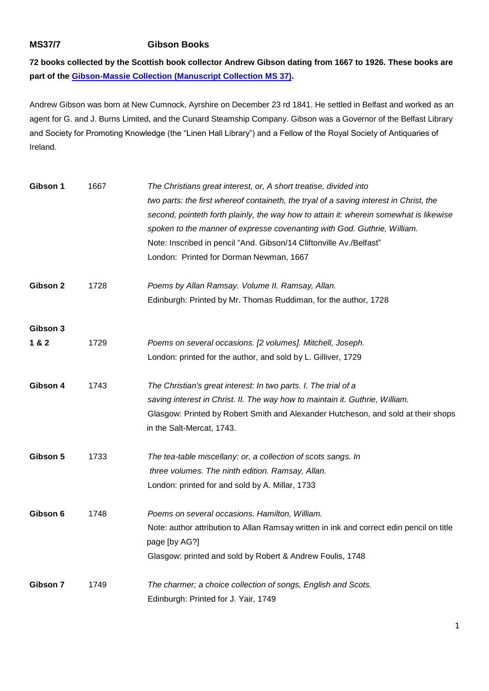## **MS37/7 Gibson Books**

**72 books collected by the Scottish book collector Andrew Gibson dating from 1667 to 1926. These books are part of the [Gibson-Massie Collection \(Manuscript Collection](https://www.qub.ac.uk/directorates/InformationServices/TheLibrary/SpecialCollections/Manuscripts/#d.en.607211) MS 37).** 

Andrew Gibson was born at New Cumnock, Ayrshire on December 23 rd 1841. He settled in Belfast and worked as an agent for G. and J. Burns Limited, and the Cunard Steamship Company. Gibson was a Governor of the Belfast Library and Society for Promoting Knowledge (the "Linen Hall Library") and a Fellow of the Royal Society of Antiquaries of Ireland.

| Gibson 1 | 1667 | The Christians great interest, or, A short treatise, divided into                        |
|----------|------|------------------------------------------------------------------------------------------|
|          |      | two parts: the first whereof containeth, the tryal of a saving interest in Christ, the   |
|          |      | second, pointeth forth plainly, the way how to attain it: wherein somewhat is likewise   |
|          |      | spoken to the manner of expresse covenanting with God. Guthrie, William.                 |
|          |      | Note: Inscribed in pencil "And. Gibson/14 Cliftonville Av./Belfast"                      |
|          |      | London: Printed for Dorman Newman, 1667                                                  |
| Gibson 2 | 1728 | Poems by Allan Ramsay. Volume II. Ramsay, Allan.                                         |
|          |      | Edinburgh: Printed by Mr. Thomas Ruddiman, for the author, 1728                          |
| Gibson 3 |      |                                                                                          |
| 1 & 2    | 1729 | Poems on several occasions. [2 volumes]. Mitchell, Joseph.                               |
|          |      | London: printed for the author, and sold by L. Gilliver, 1729                            |
| Gibson 4 | 1743 | The Christian's great interest: In two parts. I. The trial of a                          |
|          |      | saving interest in Christ. II. The way how to maintain it. Guthrie, William.             |
|          |      | Glasgow: Printed by Robert Smith and Alexander Hutcheson, and sold at their shops        |
|          |      | in the Salt-Mercat, 1743.                                                                |
| Gibson 5 | 1733 | The tea-table miscellany: or, a collection of scots sangs. In                            |
|          |      | three volumes. The ninth edition. Ramsay, Allan.                                         |
|          |      | London: printed for and sold by A. Millar, 1733                                          |
| Gibson 6 | 1748 | Poems on several occasions. Hamilton, William.                                           |
|          |      | Note: author attribution to Allan Ramsay written in ink and correct edin pencil on title |
|          |      | page [by AG?]                                                                            |
|          |      | Glasgow: printed and sold by Robert & Andrew Foulis, 1748                                |
| Gibson 7 | 1749 | The charmer; a choice collection of songs, English and Scots.                            |
|          |      | Edinburgh: Printed for J. Yair, 1749                                                     |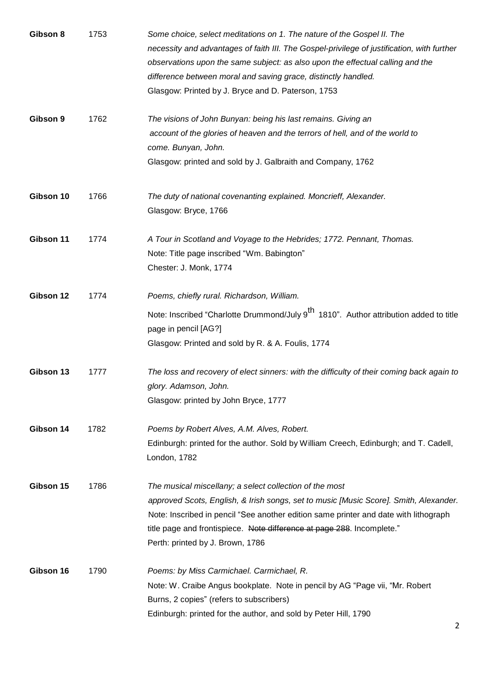| Gibson 8  | 1753 | Some choice, select meditations on 1. The nature of the Gospel II. The<br>necessity and advantages of faith III. The Gospel-privilege of justification, with further<br>observations upon the same subject: as also upon the effectual calling and the<br>difference between moral and saving grace, distinctly handled.<br>Glasgow: Printed by J. Bryce and D. Paterson, 1753 |
|-----------|------|--------------------------------------------------------------------------------------------------------------------------------------------------------------------------------------------------------------------------------------------------------------------------------------------------------------------------------------------------------------------------------|
| Gibson 9  | 1762 | The visions of John Bunyan: being his last remains. Giving an<br>account of the glories of heaven and the terrors of hell, and of the world to<br>come. Bunyan, John.<br>Glasgow: printed and sold by J. Galbraith and Company, 1762                                                                                                                                           |
| Gibson 10 | 1766 | The duty of national covenanting explained. Moncrieff, Alexander.<br>Glasgow: Bryce, 1766                                                                                                                                                                                                                                                                                      |
| Gibson 11 | 1774 | A Tour in Scotland and Voyage to the Hebrides; 1772. Pennant, Thomas.<br>Note: Title page inscribed "Wm. Babington"<br>Chester: J. Monk, 1774                                                                                                                                                                                                                                  |
| Gibson 12 | 1774 | Poems, chiefly rural. Richardson, William.<br>Note: Inscribed "Charlotte Drummond/July 9 <sup>th</sup> 1810". Author attribution added to title<br>page in pencil [AG?]<br>Glasgow: Printed and sold by R. & A. Foulis, 1774                                                                                                                                                   |
| Gibson 13 | 1777 | The loss and recovery of elect sinners: with the difficulty of their coming back again to<br>glory. Adamson, John.<br>Glasgow: printed by John Bryce, 1777                                                                                                                                                                                                                     |
| Gibson 14 | 1782 | Poems by Robert Alves, A.M. Alves, Robert.<br>Edinburgh: printed for the author. Sold by William Creech, Edinburgh; and T. Cadell,<br>London, 1782                                                                                                                                                                                                                             |
| Gibson 15 | 1786 | The musical miscellany; a select collection of the most<br>approved Scots, English, & Irish songs, set to music [Music Score]. Smith, Alexander.<br>Note: Inscribed in pencil "See another edition same printer and date with lithograph<br>title page and frontispiece. Note difference at page 288. Incomplete."<br>Perth: printed by J. Brown, 1786                         |
| Gibson 16 | 1790 | Poems: by Miss Carmichael. Carmichael, R.<br>Note: W. Craibe Angus bookplate. Note in pencil by AG "Page vii, "Mr. Robert<br>Burns, 2 copies" (refers to subscribers)<br>Edinburgh: printed for the author, and sold by Peter Hill, 1790                                                                                                                                       |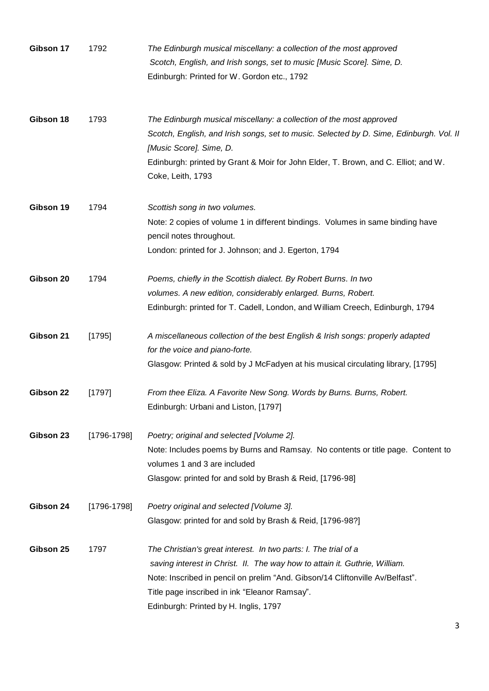| Gibson 17 | 1792            | The Edinburgh musical miscellany: a collection of the most approved<br>Scotch, English, and Irish songs, set to music [Music Score]. Sime, D.<br>Edinburgh: Printed for W. Gordon etc., 1792                                                                                                                             |
|-----------|-----------------|--------------------------------------------------------------------------------------------------------------------------------------------------------------------------------------------------------------------------------------------------------------------------------------------------------------------------|
| Gibson 18 | 1793            | The Edinburgh musical miscellany: a collection of the most approved<br>Scotch, English, and Irish songs, set to music. Selected by D. Sime, Edinburgh. Vol. II<br>[Music Score]. Sime, D.<br>Edinburgh: printed by Grant & Moir for John Elder, T. Brown, and C. Elliot; and W.<br>Coke, Leith, 1793                     |
| Gibson 19 | 1794            | Scottish song in two volumes.<br>Note: 2 copies of volume 1 in different bindings. Volumes in same binding have<br>pencil notes throughout.<br>London: printed for J. Johnson; and J. Egerton, 1794                                                                                                                      |
| Gibson 20 | 1794            | Poems, chiefly in the Scottish dialect. By Robert Burns. In two<br>volumes. A new edition, considerably enlarged. Burns, Robert.<br>Edinburgh: printed for T. Cadell, London, and William Creech, Edinburgh, 1794                                                                                                        |
| Gibson 21 | [1795]          | A miscellaneous collection of the best English & Irish songs: properly adapted<br>for the voice and piano-forte.<br>Glasgow: Printed & sold by J McFadyen at his musical circulating library, [1795]                                                                                                                     |
| Gibson 22 | [1797]          | From thee Eliza. A Favorite New Song. Words by Burns. Burns, Robert.<br>Edinburgh: Urbani and Liston, [1797]                                                                                                                                                                                                             |
| Gibson 23 | $[1796 - 1798]$ | Poetry; original and selected [Volume 2].<br>Note: Includes poems by Burns and Ramsay. No contents or title page. Content to<br>volumes 1 and 3 are included<br>Glasgow: printed for and sold by Brash & Reid, [1796-98]                                                                                                 |
| Gibson 24 | [1796-1798]     | Poetry original and selected [Volume 3].<br>Glasgow: printed for and sold by Brash & Reid, [1796-98?]                                                                                                                                                                                                                    |
| Gibson 25 | 1797            | The Christian's great interest. In two parts: I. The trial of a<br>saving interest in Christ. II. The way how to attain it. Guthrie, William.<br>Note: Inscribed in pencil on prelim "And. Gibson/14 Cliftonville Av/Belfast".<br>Title page inscribed in ink "Eleanor Ramsay".<br>Edinburgh: Printed by H. Inglis, 1797 |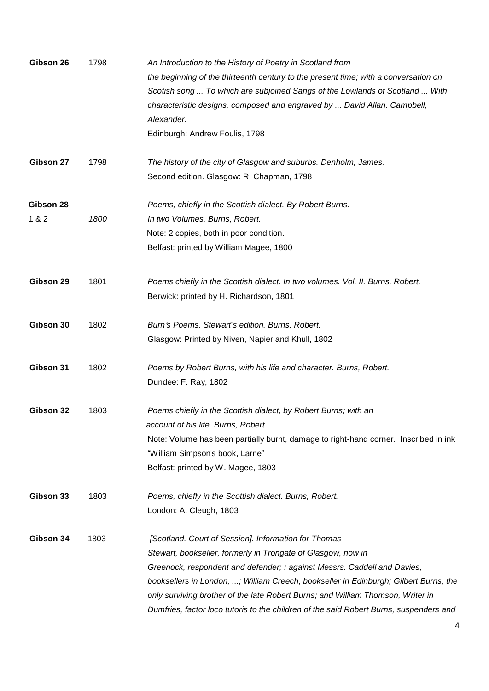| Gibson 26 | 1798 | An Introduction to the History of Poetry in Scotland from                              |
|-----------|------|----------------------------------------------------------------------------------------|
|           |      | the beginning of the thirteenth century to the present time; with a conversation on    |
|           |      | Scotish song  To which are subjoined Sangs of the Lowlands of Scotland  With           |
|           |      | characteristic designs, composed and engraved by  David Allan. Campbell,               |
|           |      | Alexander.                                                                             |
|           |      | Edinburgh: Andrew Foulis, 1798                                                         |
| Gibson 27 | 1798 | The history of the city of Glasgow and suburbs. Denholm, James.                        |
|           |      | Second edition. Glasgow: R. Chapman, 1798                                              |
| Gibson 28 |      | Poems, chiefly in the Scottish dialect. By Robert Burns.                               |
| 1 & 2     | 1800 | In two Volumes. Burns, Robert.                                                         |
|           |      | Note: 2 copies, both in poor condition.                                                |
|           |      | Belfast: printed by William Magee, 1800                                                |
| Gibson 29 | 1801 | Poems chiefly in the Scottish dialect. In two volumes. Vol. II. Burns, Robert.         |
|           |      | Berwick: printed by H. Richardson, 1801                                                |
| Gibson 30 | 1802 | Burn's Poems. Stewart"s edition. Burns, Robert.                                        |
|           |      | Glasgow: Printed by Niven, Napier and Khull, 1802                                      |
| Gibson 31 | 1802 | Poems by Robert Burns, with his life and character. Burns, Robert.                     |
|           |      | Dundee: F. Ray, 1802                                                                   |
| Gibson 32 | 1803 | Poems chiefly in the Scottish dialect, by Robert Burns; with an                        |
|           |      | account of his life. Burns, Robert.                                                    |
|           |      | Note: Volume has been partially burnt, damage to right-hand corner. Inscribed in ink   |
|           |      | "William Simpson's book, Larne"                                                        |
|           |      | Belfast: printed by W. Magee, 1803                                                     |
| Gibson 33 | 1803 | Poems, chiefly in the Scottish dialect. Burns, Robert.                                 |
|           |      | London: A. Cleugh, 1803                                                                |
| Gibson 34 | 1803 | [Scotland. Court of Session]. Information for Thomas                                   |
|           |      | Stewart, bookseller, formerly in Trongate of Glasgow, now in                           |
|           |      | Greenock, respondent and defender; : against Messrs. Caddell and Davies,               |
|           |      | booksellers in London, ; William Creech, bookseller in Edinburgh; Gilbert Burns, the   |
|           |      | only surviving brother of the late Robert Burns; and William Thomson, Writer in        |
|           |      | Dumfries, factor loco tutoris to the children of the said Robert Burns, suspenders and |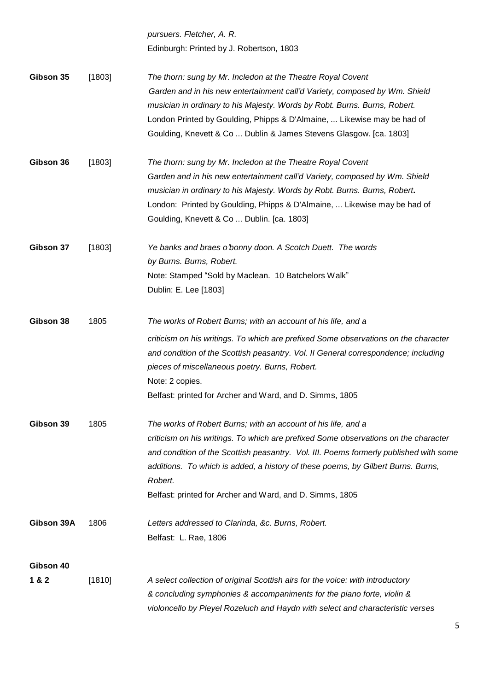|            |        | pursuers. Fletcher, A. R.                                                             |
|------------|--------|---------------------------------------------------------------------------------------|
|            |        | Edinburgh: Printed by J. Robertson, 1803                                              |
| Gibson 35  | [1803] | The thorn: sung by Mr. Incledon at the Theatre Royal Covent                           |
|            |        | Garden and in his new entertainment call'd Variety, composed by Wm. Shield            |
|            |        | musician in ordinary to his Majesty. Words by Robt. Burns. Burns, Robert.             |
|            |        | London Printed by Goulding, Phipps & D'Almaine,  Likewise may be had of               |
|            |        | Goulding, Knevett & Co  Dublin & James Stevens Glasgow. [ca. 1803]                    |
| Gibson 36  | [1803] | The thorn: sung by Mr. Incledon at the Theatre Royal Covent                           |
|            |        | Garden and in his new entertainment call'd Variety, composed by Wm. Shield            |
|            |        | musician in ordinary to his Majesty. Words by Robt. Burns. Burns, Robert.             |
|            |        | London: Printed by Goulding, Phipps & D'Almaine,  Likewise may be had of              |
|            |        | Goulding, Knevett & Co  Dublin. [ca. 1803]                                            |
| Gibson 37  | [1803] | Ye banks and braes o'bonny doon. A Scotch Duett. The words                            |
|            |        | by Burns. Burns, Robert.                                                              |
|            |        | Note: Stamped "Sold by Maclean. 10 Batchelors Walk"                                   |
|            |        | Dublin: E. Lee [1803]                                                                 |
| Gibson 38  | 1805   | The works of Robert Burns; with an account of his life, and a                         |
|            |        | criticism on his writings. To which are prefixed Some observations on the character   |
|            |        | and condition of the Scottish peasantry. Vol. II General correspondence; including    |
|            |        | pieces of miscellaneous poetry. Burns, Robert.                                        |
|            |        | Note: 2 copies.                                                                       |
|            |        | Belfast: printed for Archer and Ward, and D. Simms, 1805                              |
| Gibson 39  | 1805   | The works of Robert Burns; with an account of his life, and a                         |
|            |        | criticism on his writings. To which are prefixed Some observations on the character   |
|            |        | and condition of the Scottish peasantry. Vol. III. Poems formerly published with some |
|            |        | additions. To which is added, a history of these poems, by Gilbert Burns. Burns,      |
|            |        | Robert.                                                                               |
|            |        | Belfast: printed for Archer and Ward, and D. Simms, 1805                              |
| Gibson 39A | 1806   | Letters addressed to Clarinda, &c. Burns, Robert.                                     |
|            |        | Belfast: L. Rae, 1806                                                                 |
| Gibson 40  |        |                                                                                       |
| 1&2        | [1810] | A select collection of original Scottish airs for the voice: with introductory        |
|            |        | & concluding symphonies & accompaniments for the piano forte, violin &                |
|            |        | violoncello by Pleyel Rozeluch and Haydn with select and characteristic verses        |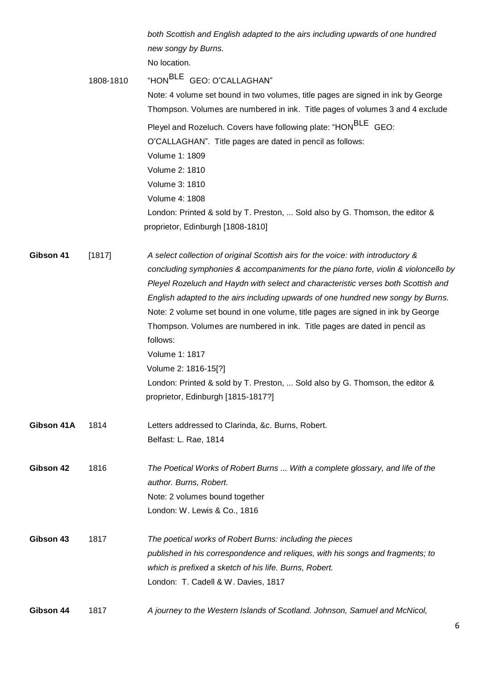*both Scottish and English adapted to the airs including upwards of one hundred new songy by Burns.*

No location.

|                  | 1808-1810 | "HON <sup>BLE</sup> GEO: O"CALLAGHAN"                                               |
|------------------|-----------|-------------------------------------------------------------------------------------|
|                  |           | Note: 4 volume set bound in two volumes, title pages are signed in ink by George    |
|                  |           | Thompson. Volumes are numbered in ink. Title pages of volumes 3 and 4 exclude       |
|                  |           | Pleyel and Rozeluch. Covers have following plate: "HON <sup>BLE</sup> GEO:          |
|                  |           | O"CALLAGHAN". Title pages are dated in pencil as follows:                           |
|                  |           | Volume 1: 1809                                                                      |
|                  |           | Volume 2: 1810                                                                      |
|                  |           | Volume 3: 1810                                                                      |
|                  |           | Volume 4: 1808                                                                      |
|                  |           | London: Printed & sold by T. Preston,  Sold also by G. Thomson, the editor &        |
|                  |           | proprietor, Edinburgh [1808-1810]                                                   |
| Gibson 41        | [1817]    | A select collection of original Scottish airs for the voice: with introductory &    |
|                  |           | concluding symphonies & accompaniments for the piano forte, violin & violoncello by |
|                  |           | Pleyel Rozeluch and Haydn with select and characteristic verses both Scottish and   |
|                  |           | English adapted to the airs including upwards of one hundred new songy by Burns.    |
|                  |           | Note: 2 volume set bound in one volume, title pages are signed in ink by George     |
|                  |           | Thompson. Volumes are numbered in ink. Title pages are dated in pencil as           |
|                  |           | follows:                                                                            |
|                  |           | Volume 1: 1817                                                                      |
|                  |           | Volume 2: 1816-15[?]                                                                |
|                  |           | London: Printed & sold by T. Preston,  Sold also by G. Thomson, the editor &        |
|                  |           | proprietor, Edinburgh [1815-1817?]                                                  |
| Gibson 41A       | 1814      | Letters addressed to Clarinda, &c. Burns, Robert.                                   |
|                  |           | Belfast: L. Rae, 1814                                                               |
| Gibson 42        | 1816      | The Poetical Works of Robert Burns  With a complete glossary, and life of the       |
|                  |           | author. Burns, Robert.                                                              |
|                  |           | Note: 2 volumes bound together                                                      |
|                  |           | London: W. Lewis & Co., 1816                                                        |
| <b>Gibson 43</b> | 1817      | The poetical works of Robert Burns: including the pieces                            |
|                  |           | published in his correspondence and reliques, with his songs and fragments; to      |
|                  |           | which is prefixed a sketch of his life. Burns, Robert.                              |
|                  |           | London: T. Cadell & W. Davies, 1817                                                 |
| Gibson 44        | 1817      | A journey to the Western Islands of Scotland. Johnson, Samuel and McNicol,          |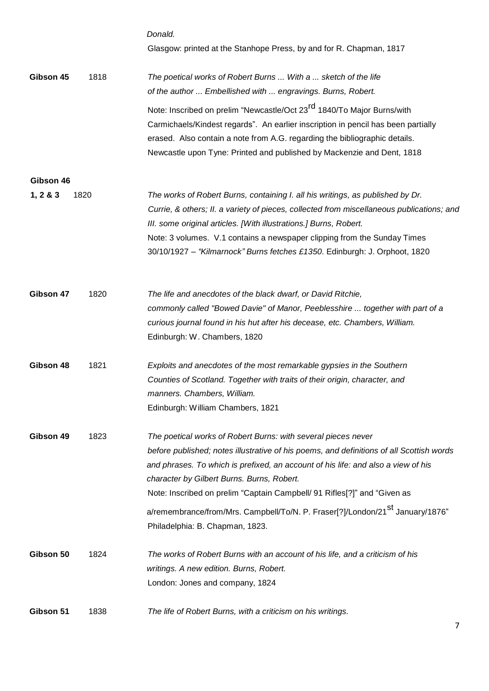|              |      | Donald.<br>Glasgow: printed at the Stanhope Press, by and for R. Chapman, 1817                                                                                                                                                                                                                                                                                                                                                                                                                           |
|--------------|------|----------------------------------------------------------------------------------------------------------------------------------------------------------------------------------------------------------------------------------------------------------------------------------------------------------------------------------------------------------------------------------------------------------------------------------------------------------------------------------------------------------|
| Gibson 45    | 1818 | The poetical works of Robert Burns  With a  sketch of the life<br>of the author  Embellished with  engravings. Burns, Robert.                                                                                                                                                                                                                                                                                                                                                                            |
|              |      | Note: Inscribed on prelim "Newcastle/Oct 23 <sup>rd</sup> 1840/To Major Burns/with<br>Carmichaels/Kindest regards". An earlier inscription in pencil has been partially<br>erased. Also contain a note from A.G. regarding the bibliographic details.<br>Newcastle upon Tyne: Printed and published by Mackenzie and Dent, 1818                                                                                                                                                                          |
| Gibson 46    |      |                                                                                                                                                                                                                                                                                                                                                                                                                                                                                                          |
| 1, 2 & 8 & 3 | 1820 | The works of Robert Burns, containing I. all his writings, as published by Dr.<br>Currie, & others; II. a variety of pieces, collected from miscellaneous publications; and<br>III. some original articles. [With illustrations.] Burns, Robert.<br>Note: 3 volumes. V.1 contains a newspaper clipping from the Sunday Times<br>30/10/1927 - "Kilmarnock" Burns fetches £1350. Edinburgh: J. Orphoot, 1820                                                                                               |
| Gibson 47    | 1820 | The life and anecdotes of the black dwarf, or David Ritchie,<br>commonly called "Bowed Davie" of Manor, Peeblesshire  together with part of a<br>curious journal found in his hut after his decease, etc. Chambers, William.<br>Edinburgh: W. Chambers, 1820                                                                                                                                                                                                                                             |
| Gibson 48    | 1821 | Exploits and anecdotes of the most remarkable gypsies in the Southern<br>Counties of Scotland. Together with traits of their origin, character, and<br>manners. Chambers, William.<br>Edinburgh: William Chambers, 1821                                                                                                                                                                                                                                                                                  |
| Gibson 49    | 1823 | The poetical works of Robert Burns: with several pieces never<br>before published; notes illustrative of his poems, and definitions of all Scottish words<br>and phrases. To which is prefixed, an account of his life: and also a view of his<br>character by Gilbert Burns. Burns, Robert.<br>Note: Inscribed on prelim "Captain Campbell/ 91 Rifles[?]" and "Given as<br>a/remembrance/from/Mrs. Campbell/To/N. P. Fraser[?]/London/21 <sup>st</sup> January/1876"<br>Philadelphia: B. Chapman, 1823. |
| Gibson 50    | 1824 | The works of Robert Burns with an account of his life, and a criticism of his<br>writings. A new edition. Burns, Robert.<br>London: Jones and company, 1824                                                                                                                                                                                                                                                                                                                                              |
| Gibson 51    | 1838 | The life of Robert Burns, with a criticism on his writings.                                                                                                                                                                                                                                                                                                                                                                                                                                              |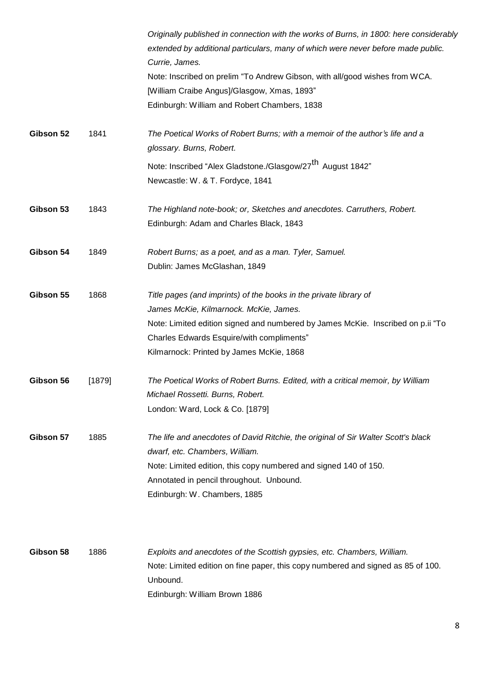|           |        | Originally published in connection with the works of Burns, in 1800: here considerably<br>extended by additional particulars, many of which were never before made public.<br>Currie, James.<br>Note: Inscribed on prelim "To Andrew Gibson, with all/good wishes from WCA.<br>[William Craibe Angus]/Glasgow, Xmas, 1893"<br>Edinburgh: William and Robert Chambers, 1838 |
|-----------|--------|----------------------------------------------------------------------------------------------------------------------------------------------------------------------------------------------------------------------------------------------------------------------------------------------------------------------------------------------------------------------------|
| Gibson 52 | 1841   | The Poetical Works of Robert Burns; with a memoir of the author's life and a<br>glossary. Burns, Robert.                                                                                                                                                                                                                                                                   |
|           |        | Note: Inscribed "Alex Gladstone./Glasgow/27 <sup>th</sup> August 1842"<br>Newcastle: W. & T. Fordyce, 1841                                                                                                                                                                                                                                                                 |
| Gibson 53 | 1843   | The Highland note-book; or, Sketches and anecdotes. Carruthers, Robert.<br>Edinburgh: Adam and Charles Black, 1843                                                                                                                                                                                                                                                         |
| Gibson 54 | 1849   | Robert Burns; as a poet, and as a man. Tyler, Samuel.<br>Dublin: James McGlashan, 1849                                                                                                                                                                                                                                                                                     |
| Gibson 55 | 1868   | Title pages (and imprints) of the books in the private library of<br>James McKie, Kilmarnock. McKie, James.<br>Note: Limited edition signed and numbered by James McKie. Inscribed on p.ii "To<br>Charles Edwards Esquire/with compliments"<br>Kilmarnock: Printed by James McKie, 1868                                                                                    |
| Gibson 56 | [1879] | The Poetical Works of Robert Burns. Edited, with a critical memoir, by William<br>Michael Rossetti. Burns, Robert.<br>London: Ward, Lock & Co. [1879]                                                                                                                                                                                                                      |
| Gibson 57 | 1885   | The life and anecdotes of David Ritchie, the original of Sir Walter Scott's black<br>dwarf, etc. Chambers, William.<br>Note: Limited edition, this copy numbered and signed 140 of 150.<br>Annotated in pencil throughout. Unbound.<br>Edinburgh: W. Chambers, 1885                                                                                                        |
| Gibson 58 | 1886   | Exploits and anecdotes of the Scottish gypsies, etc. Chambers, William.<br>Note: Limited edition on fine paper, this copy numbered and signed as 85 of 100.<br>Unbound.<br>Edinburgh: William Brown 1886                                                                                                                                                                   |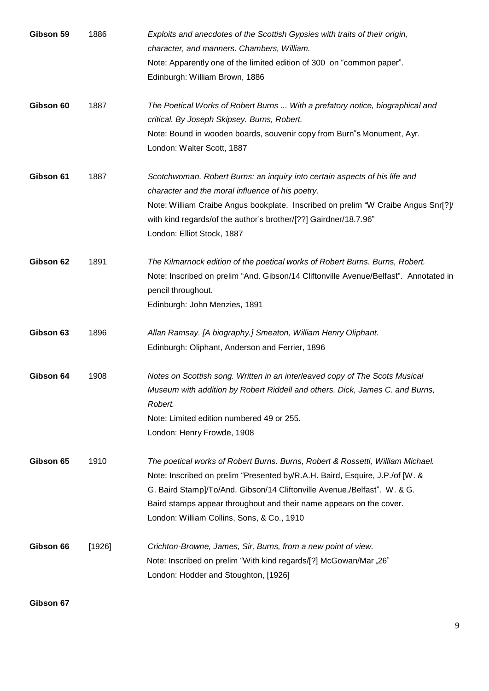| Gibson 59 | 1886   | Exploits and anecdotes of the Scottish Gypsies with traits of their origin,<br>character, and manners. Chambers, William.<br>Note: Apparently one of the limited edition of 300 on "common paper".<br>Edinburgh: William Brown, 1886                                                                                                                            |
|-----------|--------|-----------------------------------------------------------------------------------------------------------------------------------------------------------------------------------------------------------------------------------------------------------------------------------------------------------------------------------------------------------------|
| Gibson 60 | 1887   | The Poetical Works of Robert Burns  With a prefatory notice, biographical and<br>critical. By Joseph Skipsey. Burns, Robert.<br>Note: Bound in wooden boards, souvenir copy from Burn"s Monument, Ayr.<br>London: Walter Scott, 1887                                                                                                                            |
| Gibson 61 | 1887   | Scotchwoman. Robert Burns: an inquiry into certain aspects of his life and<br>character and the moral influence of his poetry.<br>Note: William Craibe Angus bookplate. Inscribed on prelim "W Craibe Angus Snr[?]<br>with kind regards/of the author's brother/[??] Gairdner/18.7.96"<br>London: Elliot Stock, 1887                                            |
| Gibson 62 | 1891   | The Kilmarnock edition of the poetical works of Robert Burns. Burns, Robert.<br>Note: Inscribed on prelim "And. Gibson/14 Cliftonville Avenue/Belfast". Annotated in<br>pencil throughout.<br>Edinburgh: John Menzies, 1891                                                                                                                                     |
| Gibson 63 | 1896   | Allan Ramsay. [A biography.] Smeaton, William Henry Oliphant.<br>Edinburgh: Oliphant, Anderson and Ferrier, 1896                                                                                                                                                                                                                                                |
| Gibson 64 | 1908   | Notes on Scottish song. Written in an interleaved copy of The Scots Musical<br>Museum with addition by Robert Riddell and others. Dick, James C. and Burns,<br>Robert.<br>Note: Limited edition numbered 49 or 255.<br>London: Henry Frowde, 1908                                                                                                               |
| Gibson 65 | 1910   | The poetical works of Robert Burns. Burns, Robert & Rossetti, William Michael.<br>Note: Inscribed on prelim "Presented by/R.A.H. Baird, Esquire, J.P./of [W. &<br>G. Baird Stamp]/To/And. Gibson/14 Cliftonville Avenue,/Belfast". W. & G.<br>Baird stamps appear throughout and their name appears on the cover.<br>London: William Collins, Sons, & Co., 1910 |
| Gibson 66 | [1926] | Crichton-Browne, James, Sir, Burns, from a new point of view.<br>Note: Inscribed on prelim "With kind regards/[?] McGowan/Mar "26"<br>London: Hodder and Stoughton, [1926]                                                                                                                                                                                      |

**Gibson 67**